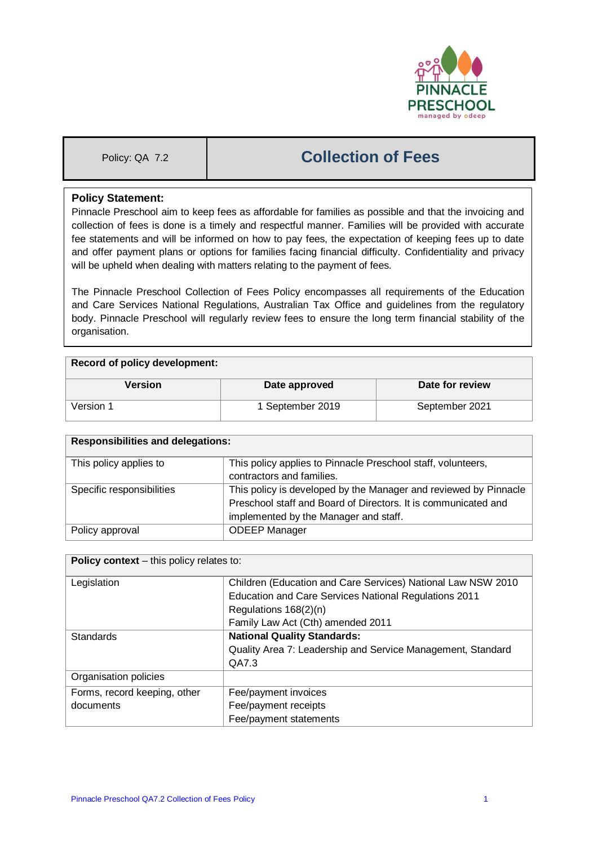

# Policy: QA 7.2 **Collection of Fees**

## **Policy Statement:**

Pinnacle Preschool aim to keep fees as affordable for families as possible and that the invoicing and collection of fees is done is a timely and respectful manner. Families will be provided with accurate fee statements and will be informed on how to pay fees, the expectation of keeping fees up to date and offer payment plans or options for families facing financial difficulty. Confidentiality and privacy will be upheld when dealing with matters relating to the payment of fees.

The Pinnacle Preschool Collection of Fees Policy encompasses all requirements of the Education and Care Services National Regulations, Australian Tax Office and guidelines from the regulatory body. Pinnacle Preschool will regularly review fees to ensure the long term financial stability of the organisation.

#### **Record of policy development:**

| Version   | Date approved    | Date for review |
|-----------|------------------|-----------------|
| Version 1 | 1 September 2019 | September 2021  |

| <b>Responsibilities and delegations:</b> |                                                                  |  |
|------------------------------------------|------------------------------------------------------------------|--|
| This policy applies to                   | This policy applies to Pinnacle Preschool staff, volunteers,     |  |
|                                          | contractors and families.                                        |  |
| Specific responsibilities                | This policy is developed by the Manager and reviewed by Pinnacle |  |
|                                          | Preschool staff and Board of Directors. It is communicated and   |  |
|                                          | implemented by the Manager and staff.                            |  |
| Policy approval                          | <b>ODEEP Manager</b>                                             |  |

| <b>Policy context</b> – this policy relates to: |                                                              |  |
|-------------------------------------------------|--------------------------------------------------------------|--|
| Legislation                                     | Children (Education and Care Services) National Law NSW 2010 |  |
|                                                 | <b>Education and Care Services National Regulations 2011</b> |  |
|                                                 | Regulations 168(2)(n)                                        |  |
|                                                 | Family Law Act (Cth) amended 2011                            |  |
| Standards                                       | <b>National Quality Standards:</b>                           |  |
|                                                 | Quality Area 7: Leadership and Service Management, Standard  |  |
|                                                 | QA7.3                                                        |  |
| Organisation policies                           |                                                              |  |
| Forms, record keeping, other                    | Fee/payment invoices                                         |  |
| documents                                       | Fee/payment receipts                                         |  |
|                                                 | Fee/payment statements                                       |  |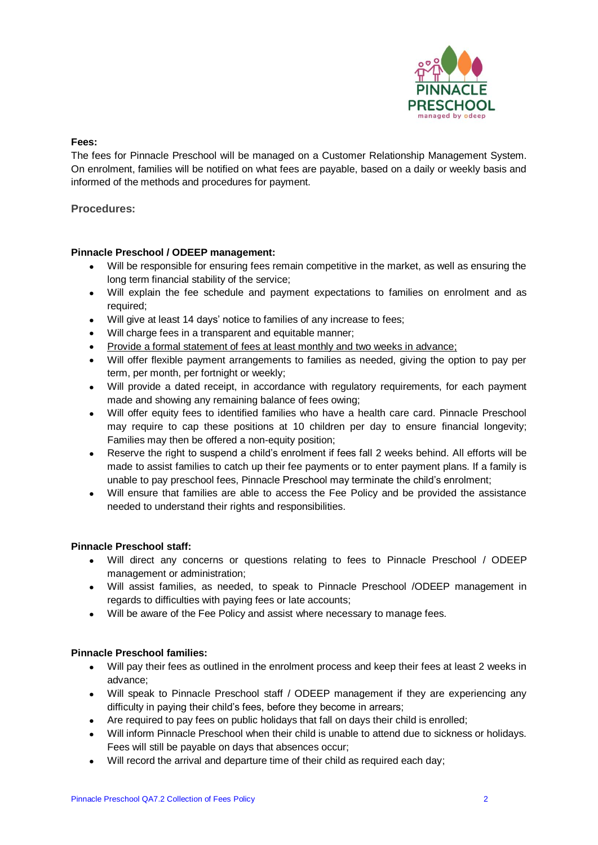

### **Fees:**

The fees for Pinnacle Preschool will be managed on a Customer Relationship Management System. On enrolment, families will be notified on what fees are payable, based on a daily or weekly basis and informed of the methods and procedures for payment.

## **Procedures:**

## **Pinnacle Preschool / ODEEP management:**

- Will be responsible for ensuring fees remain competitive in the market, as well as ensuring the long term financial stability of the service;
- Will explain the fee schedule and payment expectations to families on enrolment and as required;
- Will give at least 14 days' notice to families of any increase to fees;
- Will charge fees in a transparent and equitable manner;
- Provide a formal statement of fees at least monthly and two weeks in advance;
- Will offer flexible payment arrangements to families as needed, giving the option to pay per term, per month, per fortnight or weekly;
- Will provide a dated receipt, in accordance with regulatory requirements, for each payment made and showing any remaining balance of fees owing;
- Will offer equity fees to identified families who have a health care card. Pinnacle Preschool may require to cap these positions at 10 children per day to ensure financial longevity; Families may then be offered a non-equity position;
- Reserve the right to suspend a child's enrolment if fees fall 2 weeks behind. All efforts will be made to assist families to catch up their fee payments or to enter payment plans. If a family is unable to pay preschool fees, Pinnacle Preschool may terminate the child's enrolment;
- Will ensure that families are able to access the Fee Policy and be provided the assistance needed to understand their rights and responsibilities.

#### **Pinnacle Preschool staff:**

- Will direct any concerns or questions relating to fees to Pinnacle Preschool / ODEEP management or administration;
- Will assist families, as needed, to speak to Pinnacle Preschool /ODEEP management in regards to difficulties with paying fees or late accounts;
- Will be aware of the Fee Policy and assist where necessary to manage fees.

#### **Pinnacle Preschool families:**

- Will pay their fees as outlined in the enrolment process and keep their fees at least 2 weeks in advance;
- Will speak to Pinnacle Preschool staff / ODEEP management if they are experiencing any difficulty in paying their child's fees, before they become in arrears;
- Are required to pay fees on public holidays that fall on days their child is enrolled;
- Will inform Pinnacle Preschool when their child is unable to attend due to sickness or holidays. Fees will still be payable on days that absences occur;
- Will record the arrival and departure time of their child as required each day;